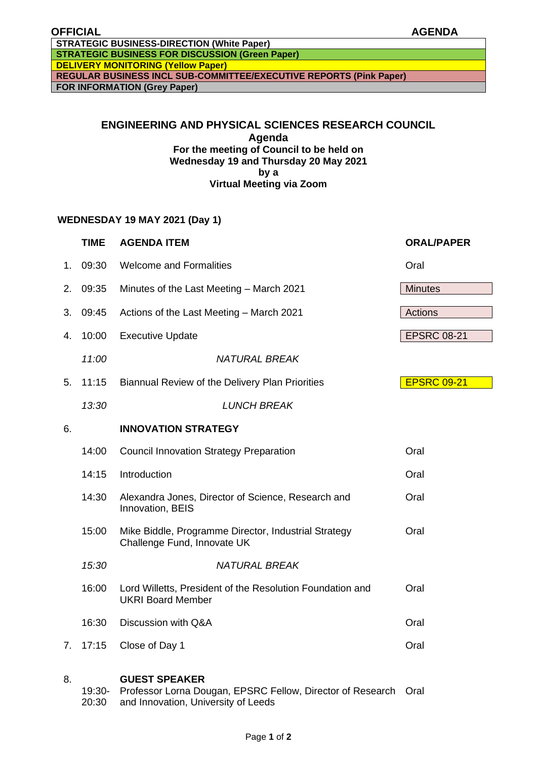**DELIVERY MONITORING (Yellow Paper) REGULAR BUSINESS INCL SUB-COMMITTEE/EXECUTIVE REPORTS (Pink Paper)**

**FOR INFORMATION (Grey Paper)**

# **ENGINEERING AND PHYSICAL SCIENCES RESEARCH COUNCIL Agenda For the meeting of Council to be held on Wednesday 19 and Thursday 20 May 2021 by a**

## **Virtual Meeting via Zoom**

### **WEDNESDAY 19 MAY 2021 (Day 1)**

|    | <b>TIME</b> | <b>AGENDA ITEM</b>                                                                    | <b>ORAL/PAPER</b>  |
|----|-------------|---------------------------------------------------------------------------------------|--------------------|
| 1. | 09:30       | <b>Welcome and Formalities</b>                                                        | Oral               |
| 2. | 09:35       | Minutes of the Last Meeting - March 2021                                              | <b>Minutes</b>     |
| 3. | 09:45       | Actions of the Last Meeting - March 2021                                              | Actions            |
| 4. | 10:00       | <b>Executive Update</b>                                                               | <b>EPSRC 08-21</b> |
|    | 11:00       | <b>NATURAL BREAK</b>                                                                  |                    |
| 5. | 11:15       | Biannual Review of the Delivery Plan Priorities                                       | <b>EPSRC 09-21</b> |
|    | 13:30       | <b>LUNCH BREAK</b>                                                                    |                    |
| 6. |             | <b>INNOVATION STRATEGY</b>                                                            |                    |
|    | 14:00       | <b>Council Innovation Strategy Preparation</b>                                        | Oral               |
|    | 14:15       | Introduction                                                                          | Oral               |
|    | 14:30       | Alexandra Jones, Director of Science, Research and<br>Innovation, BEIS                | Oral               |
|    | 15:00       | Mike Biddle, Programme Director, Industrial Strategy<br>Challenge Fund, Innovate UK   | Oral               |
|    | 15:30       | <b>NATURAL BREAK</b>                                                                  |                    |
|    | 16:00       | Lord Willetts, President of the Resolution Foundation and<br><b>UKRI Board Member</b> | Oral               |
|    | 16:30       | Discussion with Q&A                                                                   | Oral               |
| 7. | 17:15       | Close of Day 1                                                                        | Oral               |

#### 8. **GUEST SPEAKER**

19:30- Professor Lorna Dougan, EPSRC Fellow, Director of Research Oral20:30 and Innovation, University of Leeds